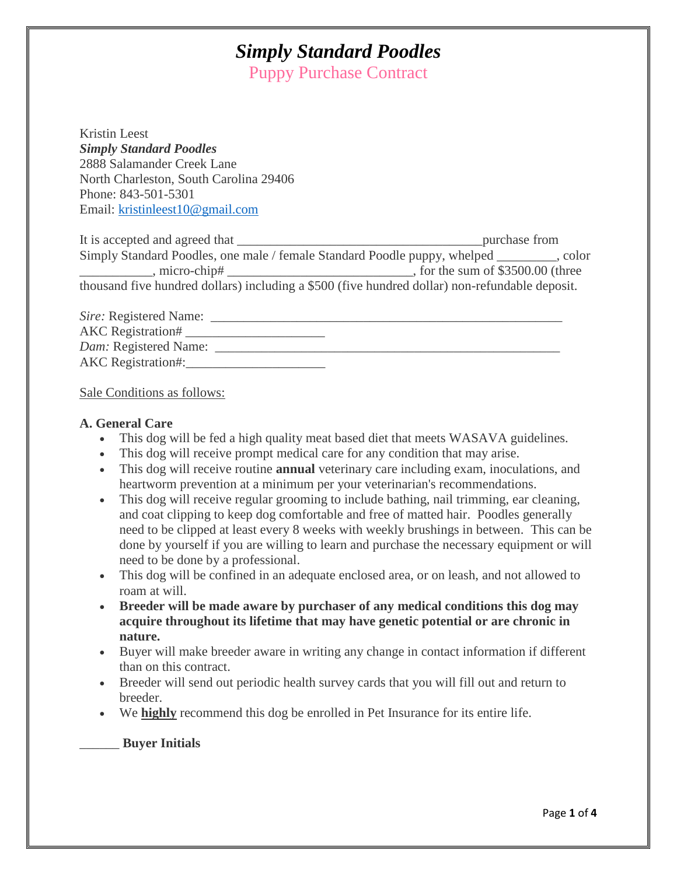Puppy Purchase Contract

Kristin Leest *Simply Standard Poodles* 2888 Salamander Creek Lane North Charleston, South Carolina 29406 Phone: 843-501-5301 Email: [kristinleest10@gmail.com](mailto:kristinleest10@gmail.com)

It is accepted and agreed that \_\_\_\_\_\_\_\_\_\_\_\_\_\_\_\_\_\_\_\_\_\_\_\_\_\_\_\_\_\_\_\_\_\_\_\_\_purchase from Simply Standard Poodles, one male / female Standard Poodle puppy, whelped \_\_\_\_\_\_\_\_\_, color \_\_\_\_\_\_\_\_, micro-chip# \_\_\_\_\_\_\_\_\_\_\_\_\_\_\_\_\_\_\_\_\_\_\_\_\_\_\_\_\_\_\_\_\_\_, for the sum of \$3500.00 (three thousand five hundred dollars) including a \$500 (five hundred dollar) non-refundable deposit.

*Sire:* Registered Name: AKC Registration# \_\_\_\_\_\_\_\_\_\_\_\_\_\_\_\_\_\_\_\_\_ *Dam:* Registered Name: \_\_\_\_\_\_\_\_\_\_\_\_\_\_\_\_\_\_\_\_\_\_\_\_\_\_\_\_\_\_\_\_\_\_\_\_\_\_\_\_\_\_\_\_\_\_\_\_\_\_\_\_ AKC Registration#:\_\_\_\_\_\_\_\_\_\_\_\_\_\_\_\_\_\_\_\_\_

Sale Conditions as follows:

#### **A. General Care**

- This dog will be fed a high quality meat based diet that meets WASAVA guidelines.
- This dog will receive prompt medical care for any condition that may arise.
- This dog will receive routine **annual** veterinary care including exam, inoculations, and heartworm prevention at a minimum per your veterinarian's recommendations.
- This dog will receive regular grooming to include bathing, nail trimming, ear cleaning, and coat clipping to keep dog comfortable and free of matted hair. Poodles generally need to be clipped at least every 8 weeks with weekly brushings in between. This can be done by yourself if you are willing to learn and purchase the necessary equipment or will need to be done by a professional.
- This dog will be confined in an adequate enclosed area, or on leash, and not allowed to roam at will.
- **Breeder will be made aware by purchaser of any medical conditions this dog may acquire throughout its lifetime that may have genetic potential or are chronic in nature.**
- Buyer will make breeder aware in writing any change in contact information if different than on this contract.
- Breeder will send out periodic health survey cards that you will fill out and return to breeder.
- We **highly** recommend this dog be enrolled in Pet Insurance for its entire life.

#### \_\_\_\_\_\_ **Buyer Initials**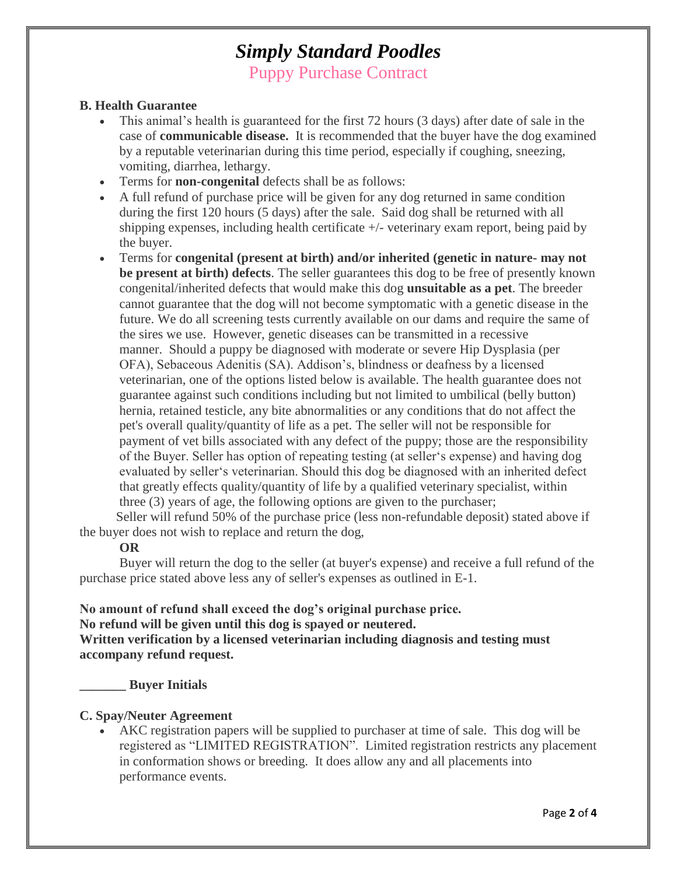Puppy Purchase Contract

### **B. Health Guarantee**

- This animal's health is guaranteed for the first 72 hours (3 days) after date of sale in the case of **communicable disease.** It is recommended that the buyer have the dog examined by a reputable veterinarian during this time period, especially if coughing, sneezing, vomiting, diarrhea, lethargy.
- Terms for **non-congenital** defects shall be as follows:
- A full refund of purchase price will be given for any dog returned in same condition during the first 120 hours (5 days) after the sale. Said dog shall be returned with all shipping expenses, including health certificate +/- veterinary exam report, being paid by the buyer.
- Terms for **congenital (present at birth) and/or inherited (genetic in nature- may not be present at birth) defects**. The seller guarantees this dog to be free of presently known congenital/inherited defects that would make this dog **unsuitable as a pet**. The breeder cannot guarantee that the dog will not become symptomatic with a genetic disease in the future. We do all screening tests currently available on our dams and require the same of the sires we use. However, genetic diseases can be transmitted in a recessive manner. Should a puppy be diagnosed with moderate or severe Hip Dysplasia (per OFA), Sebaceous Adenitis (SA). Addison's, blindness or deafness by a licensed veterinarian, one of the options listed below is available. The health guarantee does not guarantee against such conditions including but not limited to umbilical (belly button) hernia, retained testicle, any bite abnormalities or any conditions that do not affect the pet's overall quality/quantity of life as a pet. The seller will not be responsible for payment of vet bills associated with any defect of the puppy; those are the responsibility of the Buyer. Seller has option of repeating testing (at seller's expense) and having dog evaluated by seller's veterinarian. Should this dog be diagnosed with an inherited defect that greatly effects quality/quantity of life by a qualified veterinary specialist, within three (3) years of age, the following options are given to the purchaser;

 Seller will refund 50% of the purchase price (less non-refundable deposit) stated above if the buyer does not wish to replace and return the dog,

### **OR**

 Buyer will return the dog to the seller (at buyer's expense) and receive a full refund of the purchase price stated above less any of seller's expenses as outlined in E-1.

### **No amount of refund shall exceed the dog's original purchase price. No refund will be given until this dog is spayed or neutered.**

**Written verification by a licensed veterinarian including diagnosis and testing must accompany refund request.**

**\_\_\_\_\_\_\_ Buyer Initials**

### **C. Spay/Neuter Agreement**

 AKC registration papers will be supplied to purchaser at time of sale. This dog will be registered as "LIMITED REGISTRATION". Limited registration restricts any placement in conformation shows or breeding. It does allow any and all placements into performance events.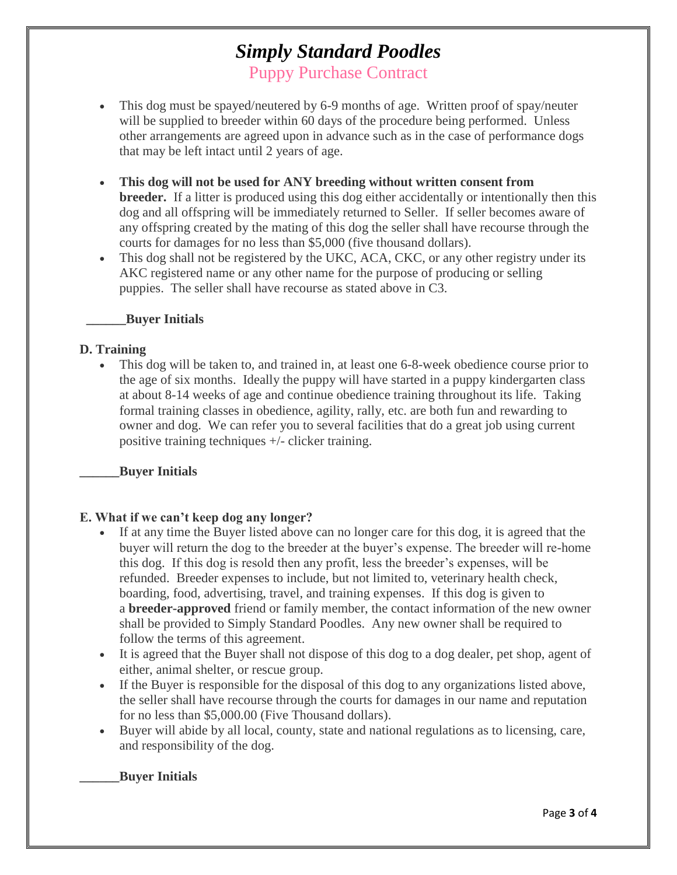Puppy Purchase Contract

- This dog must be spayed/neutered by 6-9 months of age. Written proof of spay/neuter will be supplied to breeder within 60 days of the procedure being performed. Unless other arrangements are agreed upon in advance such as in the case of performance dogs that may be left intact until 2 years of age.
- **This dog will not be used for ANY breeding without written consent from breeder.** If a litter is produced using this dog either accidentally or intentionally then this dog and all offspring will be immediately returned to Seller. If seller becomes aware of any offspring created by the mating of this dog the seller shall have recourse through the courts for damages for no less than \$5,000 (five thousand dollars).
- This dog shall not be registered by the UKC, ACA, CKC, or any other registry under its AKC registered name or any other name for the purpose of producing or selling puppies. The seller shall have recourse as stated above in C3.

### **\_\_\_\_\_\_Buyer Initials**

### **D. Training**

 This dog will be taken to, and trained in, at least one 6-8-week obedience course prior to the age of six months. Ideally the puppy will have started in a puppy kindergarten class at about 8-14 weeks of age and continue obedience training throughout its life. Taking formal training classes in obedience, agility, rally, etc. are both fun and rewarding to owner and dog. We can refer you to several facilities that do a great job using current positive training techniques +/- clicker training.

### **\_\_\_\_\_\_Buyer Initials**

### **E. What if we can't keep dog any longer?**

- If at any time the Buyer listed above can no longer care for this dog, it is agreed that the buyer will return the dog to the breeder at the buyer's expense. The breeder will re-home this dog. If this dog is resold then any profit, less the breeder's expenses, will be refunded. Breeder expenses to include, but not limited to, veterinary health check, boarding, food, advertising, travel, and training expenses. If this dog is given to a **breeder-approved** friend or family member, the contact information of the new owner shall be provided to Simply Standard Poodles. Any new owner shall be required to follow the terms of this agreement.
- It is agreed that the Buyer shall not dispose of this dog to a dog dealer, pet shop, agent of either, animal shelter, or rescue group.
- If the Buyer is responsible for the disposal of this dog to any organizations listed above, the seller shall have recourse through the courts for damages in our name and reputation for no less than \$5,000.00 (Five Thousand dollars).
- Buyer will abide by all local, county, state and national regulations as to licensing, care, and responsibility of the dog.

### **\_\_\_\_\_\_Buyer Initials**